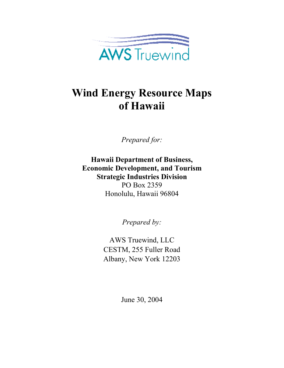

# **Wind Energy Resource Maps of Hawaii**

*Prepared for:* 

**Hawaii Department of Business, Economic Development, and Tourism Strategic Industries Division**  PO Box 2359 Honolulu, Hawaii 96804

*Prepared by:* 

AWS Truewind, LLC CESTM, 255 Fuller Road Albany, New York 12203

June 30, 2004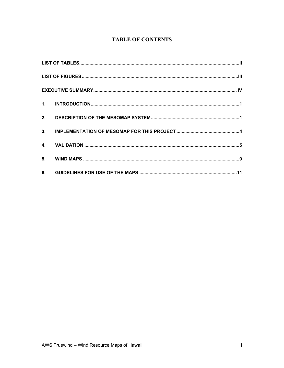# **TABLE OF CONTENTS**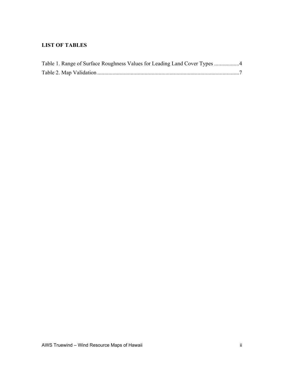# **LIST OF TABLES**

| Table 1. Range of Surface Roughness Values for Leading Land Cover Types 4 |  |
|---------------------------------------------------------------------------|--|
|                                                                           |  |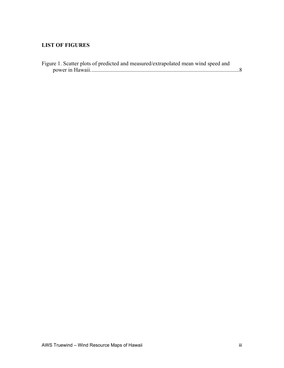# **LIST OF FIGURES**

| Figure 1. Scatter plots of predicted and measured/extrapolated mean wind speed and |  |
|------------------------------------------------------------------------------------|--|
|                                                                                    |  |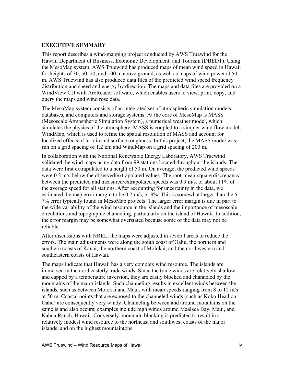## **EXECUTIVE SUMMARY**

This report describes a wind-mapping project conducted by AWS Truewind for the Hawaii Department of Business, Economic Development, and Tourism (DBEDT). Using the MesoMap system, AWS Truewind has produced maps of mean wind speed in Hawaii for heights of 30, 50, 70, and 100 m above ground, as well as maps of wind power at 50 m. AWS Truewind has also produced data files of the predicted wind speed frequency distribution and speed and energy by direction. The maps and data files are provided on a WindView CD with ArcReader software, which enables users to view, print, copy, and query the maps and wind rose data.

The MesoMap system consists of an integrated set of atmospheric simulation models, databases, and computers and storage systems. At the core of MesoMap is MASS (Mesoscale Atmospheric Simulation System), a numerical weather model, which simulates the physics of the atmosphere. MASS is coupled to a simpler wind flow model, WindMap, which is used to refine the spatial resolution of MASS and account for localized effects of terrain and surface roughness. In this project, the MASS model was run on a grid spacing of 1.2 km and WindMap on a grid spacing of 200 m.

In collaboration with the National Renewable Energy Laboratory, AWS Truewind validated the wind maps using data from 99 stations located throughout the islands. The data were first extrapolated to a height of 50 m. On average, the predicted wind speeds were 0.2 m/s below the observed/extrapolated values. The root-mean-square discrepancy between the predicted and measured/extrapolated speeds was 0.9 m/s, or about 11% of the average speed for all stations. After accounting for uncertainty in the data, we estimated the map error margin to be 0.7 m/s, or 9%. This is somewhat larger than the 5-7% error typically found in MesoMap projects. The larger error margin is due in part to the wide variability of the wind resource in the islands and the importance of mesoscale circulations and topographic channeling, particularly on the island of Hawaii. In addition, the error margin may be somewhat overstated because some of the data may not be reliable.

After discussions with NREL, the maps were adjusted in several areas to reduce the errors. The main adjustments were along the south coast of Oahu, the northern and southern coasts of Kauai, the northern coast of Molokai, and the northwestern and southeastern coasts of Hawaii.

The maps indicate that Hawaii has a very complex wind resource. The islands are immersed in the northeasterly trade winds. Since the trade winds are relatively shallow and capped by a temperature inversion, they are easily blocked and channeled by the mountains of the major islands. Such channeling results in excellent winds between the islands, such as between Molokai and Maui, with mean speeds ranging from 8 to 12 m/s at 50 m. Coastal points that are exposed to the channeled winds (such as Koko Head on Oahu) are consequently very windy. Channeling between and around mountains on the same island also occurs; examples include high winds around Maalaea Bay, Maui, and Kahua Ranch, Hawaii. Conversely, mountain blocking is predicted to result in a relatively modest wind resource to the northeast and southwest coasts of the major islands, and on the highest mountaintops.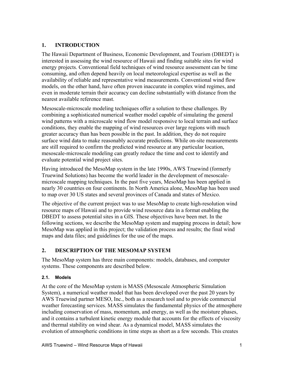# **1. INTRODUCTION**

The Hawaii Department of Business, Economic Development, and Tourism (DBEDT) is interested in assessing the wind resource of Hawaii and finding suitable sites for wind energy projects. Conventional field techniques of wind resource assessment can be time consuming, and often depend heavily on local meteorological expertise as well as the availability of reliable and representative wind measurements. Conventional wind flow models, on the other hand, have often proven inaccurate in complex wind regimes, and even in moderate terrain their accuracy can decline substantially with distance from the nearest available reference mast.

Mesoscale-microscale modeling techniques offer a solution to these challenges. By combining a sophisticated numerical weather model capable of simulating the general wind patterns with a microscale wind flow model responsive to local terrain and surface conditions, they enable the mapping of wind resources over large regions with much greater accuracy than has been possible in the past. In addition, they do not require surface wind data to make reasonably accurate predictions. While on-site measurements are still required to confirm the predicted wind resource at any particular location, mesoscale-microscale modeling can greatly reduce the time and cost to identify and evaluate potential wind project sites.

Having introduced the MesoMap system in the late 1990s, AWS Truewind (formerly Truewind Solutions) has become the world leader in the development of mesoscalemicroscale mapping techniques. In the past five years, MesoMap has been applied in nearly 30 countries on four continents. In North America alone, MesoMap has been used to map over 30 US states and several provinces of Canada and states of Mexico.

The objective of the current project was to use MesoMap to create high-resolution wind resource maps of Hawaii and to provide wind resource data in a format enabling the DBEDT to assess potential sites in a GIS. These objectives have been met. In the following sections, we describe the MesoMap system and mapping process in detail; how MesoMap was applied in this project; the validation process and results; the final wind maps and data files; and guidelines for the use of the maps.

# **2. DESCRIPTION OF THE MESOMAP SYSTEM**

The MesoMap system has three main components: models, databases, and computer systems. These components are described below.

## **2.1. Models**

At the core of the MesoMap system is MASS (Mesoscale Atmospheric Simulation System), a numerical weather model that has been developed over the past 20 years by AWS Truewind partner MESO, Inc., both as a research tool and to provide commercial weather forecasting services. MASS simulates the fundamental physics of the atmosphere including conservation of mass, momentum, and energy, as well as the moisture phases, and it contains a turbulent kinetic energy module that accounts for the effects of viscosity and thermal stability on wind shear. As a dynamical model, MASS simulates the evolution of atmospheric conditions in time steps as short as a few seconds. This creates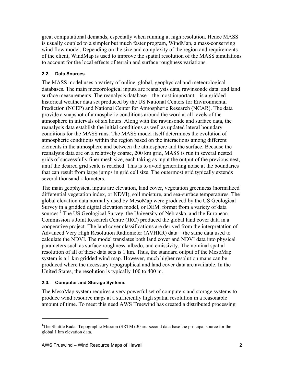great computational demands, especially when running at high resolution. Hence MASS is usually coupled to a simpler but much faster program, WindMap, a mass-conserving wind flow model. Depending on the size and complexity of the region and requirements of the client, WindMap is used to improve the spatial resolution of the MASS simulations to account for the local effects of terrain and surface roughness variations.

### **2.2. Data Sources**

The MASS model uses a variety of online, global, geophysical and meteorological databases. The main meteorological inputs are reanalysis data, rawinsonde data, and land surface measurements. The reanalysis database – the most important – is a gridded historical weather data set produced by the US National Centers for Environmental Prediction (NCEP) and National Center for Atmospheric Research (NCAR). The data provide a snapshot of atmospheric conditions around the word at all levels of the atmosphere in intervals of six hours. Along with the rawinsonde and surface data, the reanalysis data establish the initial conditions as well as updated lateral boundary conditions for the MASS runs. The MASS model itself determines the evolution of atmospheric conditions within the region based on the interactions among different elements in the atmosphere and between the atmosphere and the surface. Because the reanalysis data are on a relatively coarse, 200 km grid, MASS is run in several nested grids of successfully finer mesh size, each taking as input the output of the previous nest, until the desired grid scale is reached. This is to avoid generating noise at the boundaries that can result from large jumps in grid cell size. The outermost grid typically extends several thousand kilometers.

The main geophysical inputs are elevation, land cover, vegetation greenness (normalized differential vegetation index, or NDVI), soil moisture, and sea-surface temperatures. The global elevation data normally used by MesoMap were produced by the US Geological Survey in a gridded digital elevation model, or DEM, format from a variety of data sources.<sup>1</sup> The US Geological Survey, the University of Nebraska, and the European Commission's Joint Research Centre (JRC) produced the global land cover data in a cooperative project. The land cover classifications are derived from the interpretation of Advanced Very High Resolution Radiometer (AVHRR) data – the same data used to calculate the NDVI. The model translates both land cover and NDVI data into physical parameters such as surface roughness, albedo, and emissivity. The nominal spatial resolution of all of these data sets is 1 km. Thus, the standard output of the MesoMap system is a 1 km gridded wind map. However, much higher resolution maps can be produced where the necessary topographical and land cover data are available. In the United States, the resolution is typically 100 to 400 m.

## **2.3. Computer and Storage Systems**

 $\overline{a}$ 

The MesoMap system requires a very powerful set of computers and storage systems to produce wind resource maps at a sufficiently high spatial resolution in a reasonable amount of time. To meet this need AWS Truewind has created a distributed processing

<sup>&</sup>lt;sup>1</sup>The Shuttle Radar Topographic Mission (SRTM) 30 arc-second data base the principal source for the global 1 km elevation data.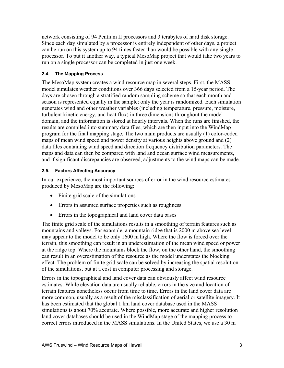network consisting of 94 Pentium II processors and 3 terabytes of hard disk storage. Since each day simulated by a processor is entirely independent of other days, a project can be run on this system up to 94 times faster than would be possible with any single processor. To put it another way, a typical MesoMap project that would take two years to run on a single processor can be completed in just one week.

### **2.4. The Mapping Process**

The MesoMap system creates a wind resource map in several steps. First, the MASS model simulates weather conditions over 366 days selected from a 15-year period. The days are chosen through a stratified random sampling scheme so that each month and season is represented equally in the sample; only the year is randomized. Each simulation generates wind and other weather variables (including temperature, pressure, moisture, turbulent kinetic energy, and heat flux) in three dimensions throughout the model domain, and the information is stored at hourly intervals. When the runs are finished, the results are compiled into summary data files, which are then input into the WindMap program for the final mapping stage. The two main products are usually (1) color-coded maps of mean wind speed and power density at various heights above ground and (2) data files containing wind speed and direction frequency distribution parameters. The maps and data can then be compared with land and ocean surface wind measurements, and if significant discrepancies are observed, adjustments to the wind maps can be made.

### **2.5. Factors Affecting Accuracy**

In our experience, the most important sources of error in the wind resource estimates produced by MesoMap are the following:

- Finite grid scale of the simulations
- Errors in assumed surface properties such as roughness
- Errors in the topographical and land cover data bases

The finite grid scale of the simulations results in a smoothing of terrain features such as mountains and valleys. For example, a mountain ridge that is 2000 m above sea level may appear to the model to be only 1600 m high. Where the flow is forced over the terrain, this smoothing can result in an underestimation of the mean wind speed or power at the ridge top. Where the mountains block the flow, on the other hand, the smoothing can result in an overestimation of the resource as the model understates the blocking effect. The problem of finite grid scale can be solved by increasing the spatial resolution of the simulations, but at a cost in computer processing and storage.

Errors in the topographical and land cover data can obviously affect wind resource estimates. While elevation data are usually reliable, errors in the size and location of terrain features nonetheless occur from time to time. Errors in the land cover data are more common, usually as a result of the misclassification of aerial or satellite imagery. It has been estimated that the global 1 km land cover database used in the MASS simulations is about 70% accurate. Where possible, more accurate and higher resolution land cover databases should be used in the WindMap stage of the mapping process to correct errors introduced in the MASS simulations. In the United States, we use a 30 m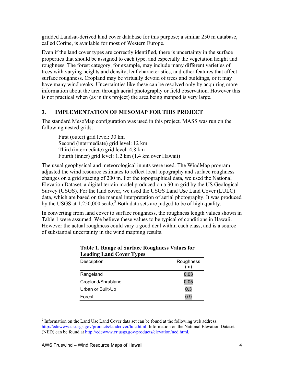gridded Landsat-derived land cover database for this purpose; a similar 250 m database, called Corine, is available for most of Western Europe.

Even if the land cover types are correctly identified, there is uncertainty in the surface properties that should be assigned to each type, and especially the vegetation height and roughness. The forest category, for example, may include many different varieties of trees with varying heights and density, leaf characteristics, and other features that affect surface roughness. Cropland may be virtually devoid of trees and buildings, or it may have many windbreaks. Uncertainties like these can be resolved only by acquiring more information about the area through aerial photography or field observation. However this is not practical when (as in this project) the area being mapped is very large.

# **3. IMPLEMENTATION OF MESOMAP FOR THIS PROJECT**

The standard MesoMap configuration was used in this project. MASS was run on the following nested grids:

First (outer) grid level: 30 km Second (intermediate) grid level: 12 km Third (intermediate) grid level: 4.8 km Fourth (inner) grid level: 1.2 km (1.4 km over Hawaii)

The usual geophysical and meteorological inputs were used. The WindMap program adjusted the wind resource estimates to reflect local topography and surface roughness changes on a grid spacing of 200 m. For the topographical data, we used the National Elevation Dataset, a digital terrain model produced on a 30 m grid by the US Geological Survey (USGS). For the land cover, we used the USGS Land Use Land Cover (LULC) data, which are based on the manual interpretation of aerial photography. It was produced by the USGS at  $1:250,000$  scale.<sup>2</sup> Both data sets are judged to be of high quality.

In converting from land cover to surface roughness, the roughness length values shown in Table 1 were assumed. We believe these values to be typical of conditions in Hawaii. However the actual roughness could vary a good deal within each class, and is a source of substantial uncertainty in the wind mapping results.

| Leading Land Cover Types |                  |
|--------------------------|------------------|
| Description              | Roughness<br>(m) |
| Rangeland                | 0.03             |
| Cropland/Shrubland       | 0.05             |
| Urban or Built-Up        | 0.3              |
| Forest                   | 0.9              |

### **Table 1. Range of Surface Roughness Values for Leading Land Cover Types**

 $\overline{a}$ 

 $2$  Information on the Land Use Land Cover data set can be found at the following web address: http://edcwww.cr.usgs.gov/products/landcover/lulc.html. Information on the National Elevation Dataset (NED) can be found at http://edcwww.cr.usgs.gov/products/elevation/ned.html.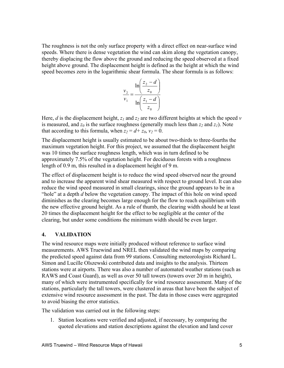The roughness is not the only surface property with a direct effect on near-surface wind speeds. Where there is dense vegetation the wind can skim along the vegetation canopy, thereby displacing the flow above the ground and reducing the speed observed at a fixed height above ground. The displacement height is defined as the height at which the wind speed becomes zero in the logarithmic shear formula. The shear formula is as follows:

$$
\frac{v_2}{v_1} = \frac{\ln\left(\frac{z_2 - d}{z_0}\right)}{\ln\left(\frac{z_1 - d}{z_0}\right)}
$$

Here, *d* is the displacement height,  $z_1$  and  $z_2$  are two different heights at which the speed *v* is measured, and  $z_0$  is the surface roughness (generally much less than  $z_2$  and  $z_1$ ). Note that according to this formula, when  $z_2 = d + z_0$ ,  $v_2 = 0$ .

The displacement height is usually estimated to be about two-thirds to three-fourths the maximum vegetation height. For this project, we assumed that the displacement height was 10 times the surface roughness length, which was in turn defined to be approximately 7.5% of the vegetation height. For deciduous forests with a roughness length of 0.9 m, this resulted in a displacement height of 9 m.

The effect of displacement height is to reduce the wind speed observed near the ground and to increase the apparent wind shear measured with respect to ground level. It can also reduce the wind speed measured in small clearings, since the ground appears to be in a "hole" at a depth *d* below the vegetation canopy. The impact of this hole on wind speed diminishes as the clearing becomes large enough for the flow to reach equilibrium with the new effective ground height. As a rule of thumb, the clearing width should be at least 20 times the displacement height for the effect to be negligible at the center of the clearing, but under some conditions the minimum width should be even larger.

#### **4. VALIDATION**

The wind resource maps were initially produced without reference to surface wind measurements. AWS Truewind and NREL then validated the wind maps by comparing the predicted speed against data from 99 stations. Consulting meteorologists Richard L. Simon and Lucille Olszewski contributed data and insights to the analysis. Thirteen stations were at airports. There was also a number of automated weather stations (such as RAWS and Coast Guard), as well as over 50 tall towers (towers over 20 m in height), many of which were instrumented specifically for wind resource assessment. Many of the stations, particularly the tall towers, were clustered in areas that have been the subject of extensive wind resource assessment in the past. The data in those cases were aggregated to avoid biasing the error statistics.

The validation was carried out in the following steps:

1. Station locations were verified and adjusted, if necessary, by comparing the quoted elevations and station descriptions against the elevation and land cover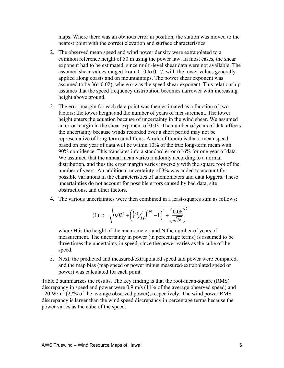maps. Where there was an obvious error in position, the station was moved to the nearest point with the correct elevation and surface characteristics.

- 2. The observed mean speed and wind power density were extrapolated to a common reference height of 50 m using the power law. In most cases, the shear exponent had to be estimated, since multi-level shear data were not available. The assumed shear values ranged from 0.10 to 0.17, with the lower values generally applied along coasts and on mountaintops. The power shear exponent was assumed to be  $3(\alpha - 0.02)$ , where  $\alpha$  was the speed shear exponent. This relationship assumes that the speed frequency distribution becomes narrower with increasing height above ground.
- 3. The error margin for each data point was then estimated as a function of two factors: the tower height and the number of years of measurement. The tower height enters the equation because of uncertainty in the wind shear. We assumed an error margin in the shear exponent of 0.03. The number of years of data affects the uncertainty because winds recorded over a short period may not be representative of long-term conditions. A rule of thumb is that a mean speed based on one year of data will be within 10% of the true long-term mean with 90% confidence. This translates into a standard error of 6% for one year of data. We assumed that the annual mean varies randomly according to a normal distribution, and thus the error margin varies inversely with the square root of the number of years. An additional uncertainty of 3% was added to account for possible variations in the characteristics of anemometers and data loggers. These uncertainties do not account for possible errors caused by bad data, site obstructions, and other factors.
- 4. The various uncertainties were then combined in a least-squares sum as follows:

$$
(1) \ e = \sqrt{0.03^2 + \left(\left(50\frac{\text{m}}{H}\right)^{0.03} - 1\right)^2 + \left(\frac{0.06}{\sqrt{N}}\right)^2}
$$

where H is the height of the anemometer, and N the number of years of measurement. The uncertainty in power (in percentage terms) is assumed to be three times the uncertainty in speed, since the power varies as the cube of the speed.

5. Next, the predicted and measured/extrapolated speed and power were compared, and the map bias (map speed or power minus measured/extrapolated speed or power) was calculated for each point.

Table 2 summarizes the results. The key finding is that the root-mean-square (RMS) discrepancy in speed and power were 0.9 m/s (11% of the average observed speed) and 120 W/m2 (27% of the average observed power), respectively. The wind power RMS discrepancy is larger than the wind speed discrepancy in percentage terms because the power varies as the cube of the speed.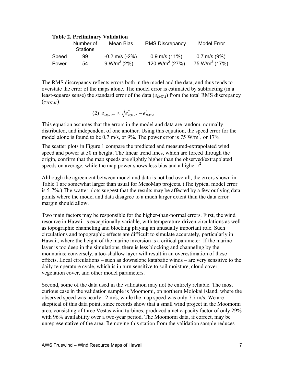| radio 2. Fremilian<br>апиант |                 |                    |                            |                           |  |  |  |
|------------------------------|-----------------|--------------------|----------------------------|---------------------------|--|--|--|
|                              | Number of       | Mean Bias          | <b>RMS Discrepancy</b>     | Model Error               |  |  |  |
|                              | <b>Stations</b> |                    |                            |                           |  |  |  |
| Speed                        | 99              | $-0.2$ m/s $(-2%)$ | $0.9$ m/s $(11%)$          | $0.7$ m/s $(9\%)$         |  |  |  |
| Power                        | 54              | $9 W/m^2 (2%)$     | 120 W/m <sup>2</sup> (27%) | 75 W/m <sup>2</sup> (17%) |  |  |  |

#### **Table 2. Preliminary Validation**

The RMS discrepancy reflects errors both in the model and the data, and thus tends to overstate the error of the maps alone. The model error is estimated by subtracting (in a least-squares sense) the standard error of the data  $(e_{DATA})$  from the total RMS discrepancy  $(e_{TOTAL})$ :

(2) 
$$
e_{MODEL} \approx \sqrt{e_{TOTAL}^2 - e_{DATA}^2}
$$

This equation assumes that the errors in the model and data are random, normally distributed, and independent of one another. Using this equation, the speed error for the model alone is found to be 0.7 m/s, or 9%. The power error is 75 W/m<sup>2</sup>, or 17%.

The scatter plots in Figure 1 compare the predicted and measured-extrapolated wind speed and power at 50 m height. The linear trend lines, which are forced through the origin, confirm that the map speeds are slightly higher than the observed/extrapolated speeds on average, while the map power shows less bias and a higher  $r^2$ .

Although the agreement between model and data is not bad overall, the errors shown in Table 1 are somewhat larger than usual for MesoMap projects. (The typical model error is 5-7%.) The scatter plots suggest that the results may be affected by a few outlying data points where the model and data disagree to a much larger extent than the data error margin should allow.

Two main factors may be responsible for the higher-than-normal errors. First, the wind resource in Hawaii is exceptionally variable, with temperature-driven circulations as well as topographic channeling and blocking playing an unusually important role. Such circulations and topographic effects are difficult to simulate accurately, particularly in Hawaii, where the height of the marine inversion is a critical parameter. If the marine layer is too deep in the simulations, there is less blocking and channeling by the mountains; conversely, a too-shallow layer will result in an overestimation of these effects. Local circulations – such as downslope katabatic winds – are very sensitive to the daily temperature cycle, which is in turn sensitive to soil moisture, cloud cover, vegetation cover, and other model parameters.

Second, some of the data used in the validation may not be entirely reliable. The most curious case in the validation sample is Moomomi, on northern Molokai island, where the observed speed was nearly 12 m/s, while the map speed was only 7.7 m/s. We are skeptical of this data point, since records show that a small wind project in the Moomomi area, consisting of three Vestas wind turbines, produced a net capacity factor of only 29% with 96% availability over a two-year period. The Moomomi data, if correct, may be unrepresentative of the area. Removing this station from the validation sample reduces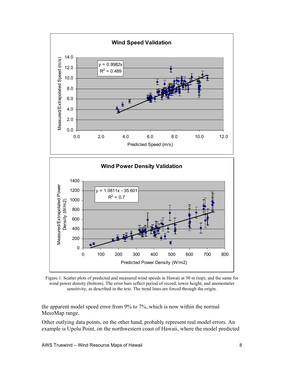

Figure 1. Scatter plots of predicted and measured wind speeds in Hawaii at 50 m (top), and the same for wind power density (bottom). The error bars reflect period of record, tower height, and anemometer sensitivity, as described in the text. The trend lines are forced through the origin.

the apparent model speed error from 9% to 7%, which is now within the normal MesoMap range.

Other outlying data points, on the other hand, probably represent real model errors. An example is Upolu Point, on the northwestern coast of Hawaii, where the model predicted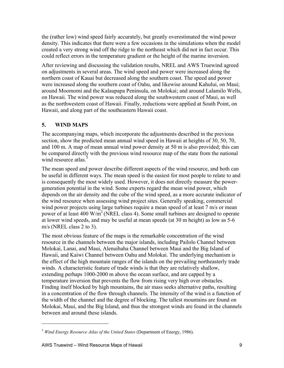the (rather low) wind speed fairly accurately, but greatly overestimated the wind power density. This indicates that there were a few occasions in the simulations when the model created a very strong wind off the ridge to the northeast which did not in fact occur. This could reflect errors in the temperature gradient or the height of the marine inversion.

After reviewing and discussing the validation results, NREL and AWS Truewind agreed on adjustments in several areas. The wind speed and power were increased along the northern coast of Kauai but decreased along the southern coast. The speed and power were increased along the southern coast of Oahu, and likewise around Kahului, on Maui; around Moomomi and the Kalaupapa Peninsula, on Molokai; and around Lalamilo Wells, on Hawaii. The wind power was reduced along the southwestern coast of Maui, as well as the northwestern coast of Hawaii. Finally, reductions were applied at South Point, on Hawaii, and along part of the southeastern Hawaii coast.

# **5. WIND MAPS**

The accompanying maps, which incorporate the adjustments described in the previous section, show the predicted mean annual wind speed in Hawaii at heights of 30, 50, 70, and 100 m. A map of mean annual wind power density at 50 m is also provided; this can be compared directly with the previous wind resource map of the state from the national wind resource atlas.<sup>3</sup>

The mean speed and power describe different aspects of the wind resource, and both can be useful in different ways. The mean speed is the easiest for most people to relate to and is consequently the most widely used. However, it does not directly measure the powergeneration potential in the wind. Some experts regard the mean wind power, which depends on the air density and the cube of the wind speed, as a more accurate indicator of the wind resource when assessing wind project sites. Generally speaking, commercial wind power projects using large turbines require a mean speed of at least 7 m/s or mean power of at least 400 W/m<sup>2</sup> (NREL class 4). Some small turbines are designed to operate at lower wind speeds, and may be useful at mean speeds (at 30 m height) as low as 5-6 m/s (NREL class 2 to 3).

The most obvious feature of the maps is the remarkable concentration of the wind resource in the channels between the major islands, including Pailolo Channel between Molokai, Lanai, and Maui, Alenuihaha Channel between Maui and the Big Island of Hawaii, and Kaiwi Channel between Oahu and Molokai. The underlying mechanism is the effect of the high mountain ranges of the islands on the prevailing northeasterly trade winds. A characteristic feature of trade winds is that they are relatively shallow, extending perhaps 1000-2000 m above the ocean surface, and are capped by a temperature inversion that prevents the flow from rising very high over obstacles. Finding itself blocked by high mountains, the air mass seeks alternative paths, resulting in a concentration of the flow through channels. The intensity of the wind is a function of the width of the channel and the degree of blocking. The tallest mountains are found on Molokai, Maui, and the Big Island, and thus the strongest winds are found in the channels between and around these islands.

 $\overline{a}$ 

<sup>3</sup> *Wind Energy Resource Atlas of the United States* (Department of Energy, 1986).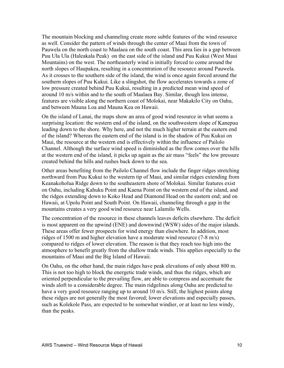The mountain blocking and channeling create more subtle features of the wind resource as well. Consider the pattern of winds through the center of Maui from the town of Pauwela on the north coast to Maalaea on the south coast. This area lies in a gap between Puu Ula Ula (Haleakala Peak) on the east side of the island and Puu Kukui (West Maui Mountains) on the west. The northeasterly wind is initially forced to come around the north slopes of Haupakea, resulting in a concentration of the resource around Pauwela. As it crosses to the southern side of the island, the wind is once again forced around the southern slopes of Puu Kukui. Like a slingshot, the flow accelerates towards a zone of low pressure created behind Puu Kukui, resulting in a predicted mean wind speed of around 10 m/s within and to the south of Maalaea Bay. Similar, though less intense, features are visible along the northern coast of Molokai, near Makakilo City on Oahu, and between Mauna Loa and Mauna Kea on Hawaii.

On the island of Lanai, the maps show an area of good wind resource in what seems a surprising location: the western end of the island, on the southwestern slope of Kanepuu leading down to the shore. Why here, and not the much higher terrain at the eastern end of the island? Whereas the eastern end of the island is in the shadow of Puu Kukui on Maui, the resource at the western end is effectively within the influence of Pailolo Channel. Although the surface wind speed is diminished as the flow comes over the hills at the western end of the island, it picks up again as the air mass "feels" the low pressure created behind the hills and rushes back down to the sea.

Other areas benefiting from the Pailolo Channel flow include the finger ridges stretching northward from Puu Kukui to the western tip of Maui, and similar ridges extending from Keanakoholua Ridge down to the southeastern shore of Molokai. Similar features exist on Oahu, including Kahuku Point and Kaena Point on the western end of the island, and the ridges extending down to Koko Head and Diamond Head on the eastern end; and on Hawaii, at Upolu Point and South Point. On Hawaii, channeling through a gap in the mountains creates a very good wind resource near Lalamilo Wells.

The concentration of the resource in these channels leaves deficits elsewhere. The deficit is most apparent on the upwind (ENE) and downwind (WSW) sides of the major islands. These areas offer fewer prospects for wind energy than elsewhere. In addition, most ridges of 1500 m and higher elevation have a moderate wind resource (7-8 m/s) compared to ridges of lower elevation. The reason is that they reach too high into the atmosphere to benefit greatly from the shallow trade winds. This applies especially to the mountains of Maui and the Big Island of Hawaii.

On Oahu, on the other hand, the main ridges have peak elevations of only about 800 m. This is not too high to block the energetic trade winds, and thus the ridges, which are oriented perpendicular to the prevailing flow, are able to compress and accentuate the winds aloft to a considerable degree. The main ridgelines along Oahu are predicted to have a very good resource ranging up to around 10 m/s. Still, the highest points along these ridges are not generally the most favored; lower elevations and especially passes, such as Kolekole Pass, are expected to be somewhat windier, or at least no less windy, than the peaks.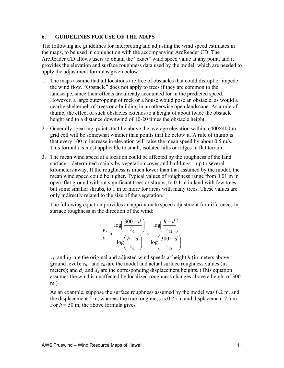### **6. GUIDELINES FOR USE OF THE MAPS**

The following are guidelines for interpreting and adjusting the wind speed estimates in the maps, to be used in conjunction with the accompanying ArcReader CD. The ArcReader CD allows users to obtain the "exact" wind speed value at any point, and it provides the elevation and surface roughness data used by the model, which are needed to apply the adjustment formulas given below.

- 1. The maps assume that all locations are free of obstacles that could disrupt or impede the wind flow. "Obstacle" does not apply to trees if they are common to the landscape, since their effects are already accounted for in the predicted speed. However, a large outcropping of rock or a house would pose an obstacle, as would a nearby shelterbelt of trees or a building in an otherwise open landscape. As a rule of thumb, the effect of such obstacles extends to a height of about twice the obstacle height and to a distance downwind of 10-20 times the obstacle height.
- 2. Generally speaking, points that lie above the average elevation within a  $400\times400$  m grid cell will be somewhat windier than points that lie below it. A rule of thumb is that every 100 m increase in elevation will raise the mean speed by about 0.5 m/s. This formula is most applicable to small, isolated hills or ridges in flat terrain.
- 3. The mean wind speed at a location could be affected by the roughness of the land surface – determined mainly by vegetation cover and buildings – up to several kilometers away. If the roughness is much lower than that assumed by the model, the mean wind speed could be higher. Typical values of roughness range from 0.01 m in open, flat ground without significant trees or shrubs, to 0.1 m in land with few trees but some smaller shrubs, to 1 m or more for areas with many trees. These values are only indirectly related to the size of the vegetation.

The following equation provides an approximate speed adjustment for differences in surface roughness in the direction of the wind:

$$
\frac{v_2}{v_1} \approx \frac{\log\left(\frac{300 - d}{z_{01}}\right)}{\log\left(\frac{h - d}{z_{01}}\right)} \times \frac{\log\left(\frac{h - d}{z_{02}}\right)}{\log\left(\frac{300 - d}{z_{02}}\right)}
$$

 $v_1$  and  $v_2$  are the original and adjusted wind speeds at height *h* (in meters above ground level);  $z_{01}$  and  $z_{02}$  are the model and actual surface roughness values (in meters); and  $d_1$  and  $d_2$  are the corresponding displacement heights. (This equation assumes the wind is unaffected by localized roughness changes above a height of 300 m.)

As an example, suppose the surface roughness assumed by the model was 0.2 m, and the displacement 2 m, whereas the true roughness is 0.75 m and displacement 7.5 m. For  $h = 50$  m, the above formula gives